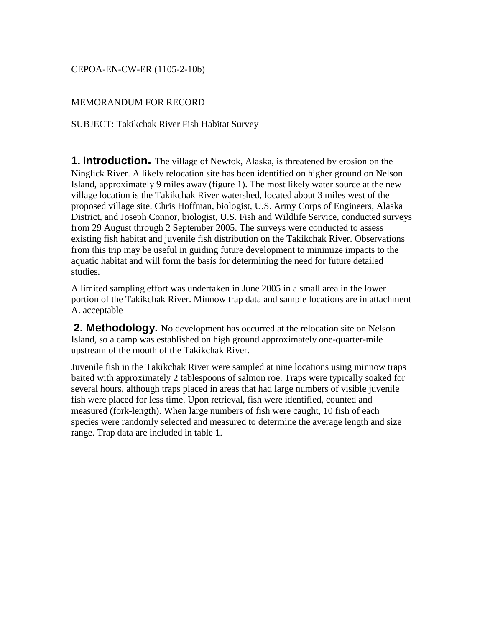## CEPOA-EN-CW-ER (1105-2-10b)

## MEMORANDUM FOR RECORD

SUBJECT: Takikchak River Fish Habitat Survey

**1. Introduction.** The village of Newtok, Alaska, is threatened by erosion on the Ninglick River. A likely relocation site has been identified on higher ground on Nelson Island, approximately 9 miles away (figure 1). The most likely water source at the new village location is the Takikchak River watershed, located about 3 miles west of the proposed village site. Chris Hoffman, biologist, U.S. Army Corps of Engineers, Alaska District, and Joseph Connor, biologist, U.S. Fish and Wildlife Service, conducted surveys from 29 August through 2 September 2005. The surveys were conducted to assess existing fish habitat and juvenile fish distribution on the Takikchak River. Observations from this trip may be useful in guiding future development to minimize impacts to the aquatic habitat and will form the basis for determining the need for future detailed studies.

A limited sampling effort was undertaken in June 2005 in a small area in the lower portion of the Takikchak River. Minnow trap data and sample locations are in attachment A. acceptable

**2. Methodology.** No development has occurred at the relocation site on Nelson Island, so a camp was established on high ground approximately one-quarter-mile upstream of the mouth of the Takikchak River.

Juvenile fish in the Takikchak River were sampled at nine locations using minnow traps baited with approximately 2 tablespoons of salmon roe. Traps were typically soaked for several hours, although traps placed in areas that had large numbers of visible juvenile fish were placed for less time. Upon retrieval, fish were identified, counted and measured (fork-length). When large numbers of fish were caught, 10 fish of each species were randomly selected and measured to determine the average length and size range. Trap data are included in table 1.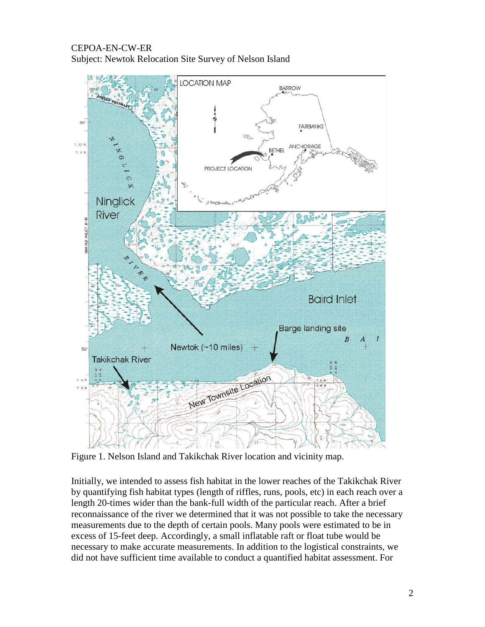

Figure 1. Nelson Island and Takikchak River location and vicinity map.

Initially, we intended to assess fish habitat in the lower reaches of the Takikchak River by quantifying fish habitat types (length of riffles, runs, pools, etc) in each reach over a length 20-times wider than the bank-full width of the particular reach. After a brief reconnaissance of the river we determined that it was not possible to take the necessary measurements due to the depth of certain pools. Many pools were estimated to be in excess of 15-feet deep. Accordingly, a small inflatable raft or float tube would be necessary to make accurate measurements. In addition to the logistical constraints, we did not have sufficient time available to conduct a quantified habitat assessment. For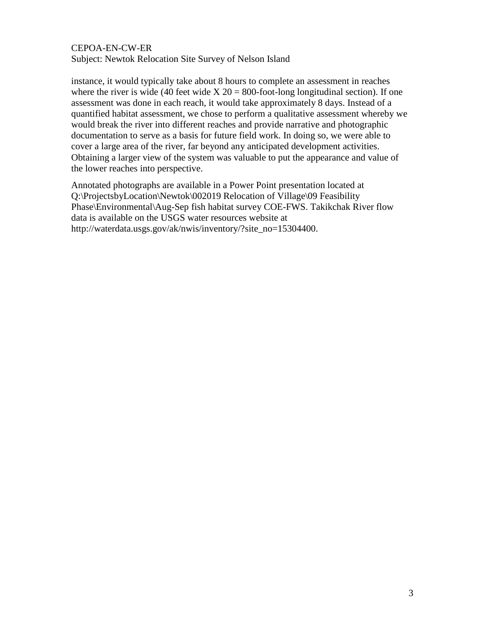instance, it would typically take about 8 hours to complete an assessment in reaches where the river is wide (40 feet wide  $X 20 = 800$ -foot-long longitudinal section). If one assessment was done in each reach, it would take approximately 8 days. Instead of a quantified habitat assessment, we chose to perform a qualitative assessment whereby we would break the river into different reaches and provide narrative and photographic documentation to serve as a basis for future field work. In doing so, we were able to cover a large area of the river, far beyond any anticipated development activities. Obtaining a larger view of the system was valuable to put the appearance and value of the lower reaches into perspective.

Annotated photographs are available in a Power Point presentation located at Q:\ProjectsbyLocation\Newtok\002019 Relocation of Village\09 Feasibility Phase\Environmental\Aug-Sep fish habitat survey COE-FWS. Takikchak River flow data is available on the USGS water resources website at http://waterdata.usgs.gov/ak/nwis/inventory/?site\_no=15304400.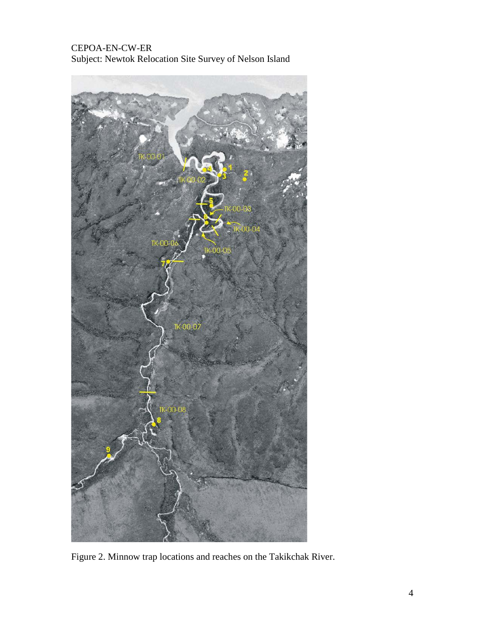

Figure 2. Minnow trap locations and reaches on the Takikchak River.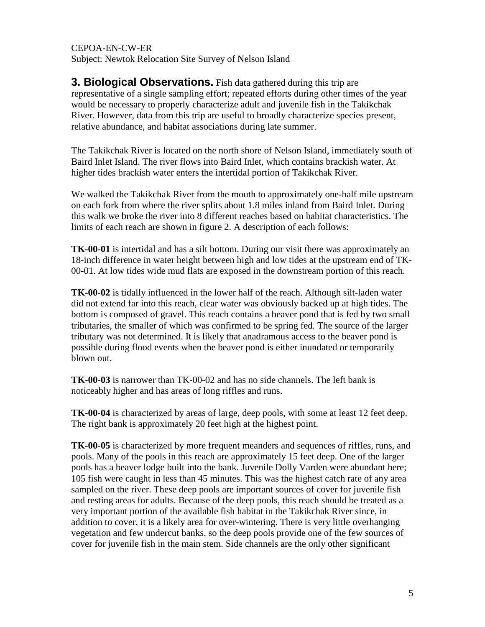**3. Biological Observations.** Fish data gathered during this trip are representative of a single sampling effort; repeated efforts during other times of the year would be necessary to properly characterize adult and juvenile fish in the Takikchak River. However, data from this trip are useful to broadly characterize species present, relative abundance, and habitat associations during late summer.

The Takikchak River is located on the north shore of Nelson Island, immediately south of Baird Inlet Island. The river flows into Baird Inlet, which contains brackish water. At higher tides brackish water enters the intertidal portion of Takikchak River.

We walked the Takikchak River from the mouth to approximately one-half mile upstream on each fork from where the river splits about 1.8 miles inland from Baird Inlet. During this walk we broke the river into 8 different reaches based on habitat characteristics. The limits of each reach are shown in figure 2. A description of each follows:

**TK-00-01** is intertidal and has a silt bottom. During our visit there was approximately an 18-inch difference in water height between high and low tides at the upstream end of TK-00-01. At low tides wide mud flats are exposed in the downstream portion of this reach.

**TK-00-02** is tidally influenced in the lower half of the reach. Although silt-laden water did not extend far into this reach, clear water was obviously backed up at high tides. The bottom is composed of gravel. This reach contains a beaver pond that is fed by two small tributaries, the smaller of which was confirmed to be spring fed. The source of the larger tributary was not determined. It is likely that anadramous access to the beaver pond is possible during flood events when the beaver pond is either inundated or temporarily blown out.

**TK-00-03** is narrower than TK-00-02 and has no side channels. The left bank is noticeably higher and has areas of long riffles and runs.

**TK-00-04** is characterized by areas of large, deep pools, with some at least 12 feet deep. The right bank is approximately 20 feet high at the highest point.

**TK-00-05** is characterized by more frequent meanders and sequences of riffles, runs, and pools. Many of the pools in this reach are approximately 15 feet deep. One of the larger pools has a beaver lodge built into the bank. Juvenile Dolly Varden were abundant here; 105 fish were caught in less than 45 minutes. This was the highest catch rate of any area sampled on the river. These deep pools are important sources of cover for juvenile fish and resting areas for adults. Because of the deep pools, this reach should be treated as a very important portion of the available fish habitat in the Takikchak River since, in addition to cover, it is a likely area for over-wintering. There is very little overhanging vegetation and few undercut banks, so the deep pools provide one of the few sources of cover for juvenile fish in the main stem. Side channels are the only other significant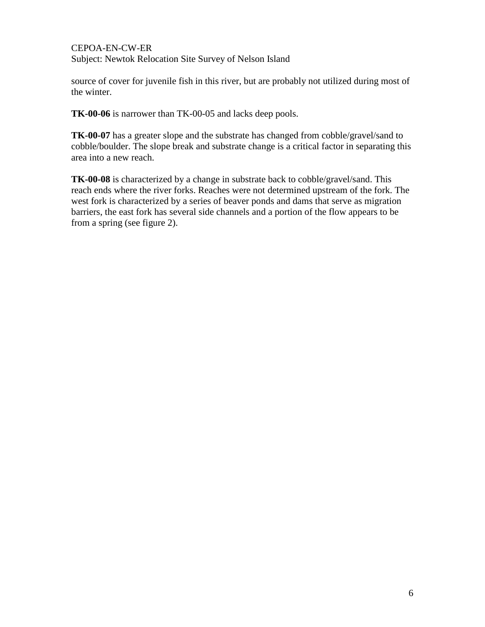source of cover for juvenile fish in this river, but are probably not utilized during most of the winter.

**TK-00-06** is narrower than TK-00-05 and lacks deep pools.

**TK-00-07** has a greater slope and the substrate has changed from cobble/gravel/sand to cobble/boulder. The slope break and substrate change is a critical factor in separating this area into a new reach.

**TK-00-08** is characterized by a change in substrate back to cobble/gravel/sand. This reach ends where the river forks. Reaches were not determined upstream of the fork. The west fork is characterized by a series of beaver ponds and dams that serve as migration barriers, the east fork has several side channels and a portion of the flow appears to be from a spring (see figure 2).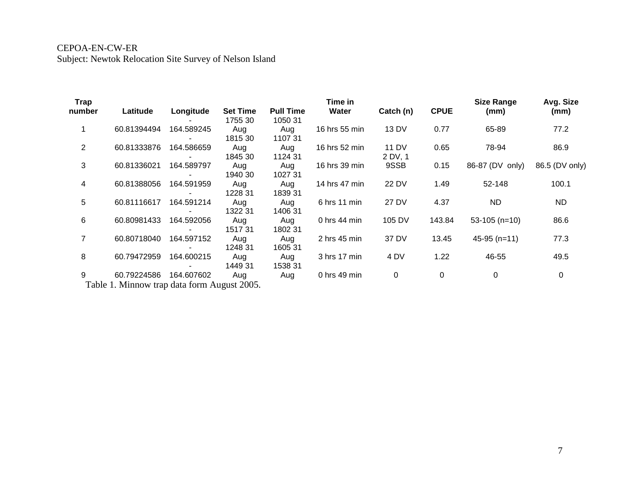| <b>Trap</b>    |             | Longitude  |                 | Time in          |                        |           |             | <b>Size Range</b> | Avg. Size      |
|----------------|-------------|------------|-----------------|------------------|------------------------|-----------|-------------|-------------------|----------------|
| number         | Latitude    |            | <b>Set Time</b> | <b>Pull Time</b> | Water                  | Catch (n) | <b>CPUE</b> | (mm)              | (mm)           |
|                |             |            | 1755 30         | 1050 31          |                        |           |             |                   |                |
|                | 60.81394494 | 164.589245 | Aug             | Aug              | 16 hrs 55 min          | 13 DV     | 0.77        | 65-89             | 77.2           |
|                |             |            | 1815 30         | 110731           |                        |           |             |                   |                |
| $\overline{2}$ | 60.81333876 | 164.586659 | Aug             | Aug              | 16 hrs 52 min          | 11 DV     | 0.65        | 78-94             | 86.9           |
|                |             |            | 1845 30         | 1124 31          |                        | 2 DV, 1   |             |                   |                |
| 3              | 60.81336021 | 164.589797 | Aug             | Aug              | 16 hrs 39 min          | 9SSB      | 0.15        | 86-87 (DV only)   | 86.5 (DV only) |
|                |             |            | 1940 30         | 1027 31          |                        |           |             |                   |                |
| 4              | 60.81388056 | 164.591959 | Aug             | Aug              | 14 hrs 47 min          | 22 DV     | 1.49        | 52-148            | 100.1          |
|                |             |            | 1228 31         | 1839 31          |                        |           |             |                   |                |
| 5              | 60.81116617 | 164.591214 | Aug             | Aug              | 6 hrs 11 min           | 27 DV     | 4.37        | ND                | ND.            |
|                |             |            | 1322 31         | 1406 31          |                        |           |             |                   |                |
| 6              | 60.80981433 | 164.592056 | Aug             | Aug              | 0 hrs $44 \text{ min}$ | 105 DV    | 143.84      | $53-105$ (n=10)   | 86.6           |
|                |             |            | 151731          | 1802 31          |                        |           |             |                   |                |
| $\overline{7}$ | 60.80718040 | 164.597152 | Aug             | Aug              | 2 hrs 45 min           | 37 DV     | 13.45       | 45-95 (n=11)      | 77.3           |
|                |             |            | 1248 31         | 1605 31          |                        |           |             |                   |                |
| 8              | 60.79472959 | 164.600215 | Aug             | Aug              | 3 hrs 17 min           | 4 DV      | 1.22        | 46-55             | 49.5           |
|                |             |            | 1449 31         | 1538 31          |                        |           |             |                   |                |
| 9              | 60.79224586 | 164.607602 | Aug             | Aug              | 0 hrs 49 min           | 0         | 0           | 0                 | 0              |
|                |             |            |                 |                  |                        |           |             |                   |                |

Table 1. Minnow trap data form August 2005.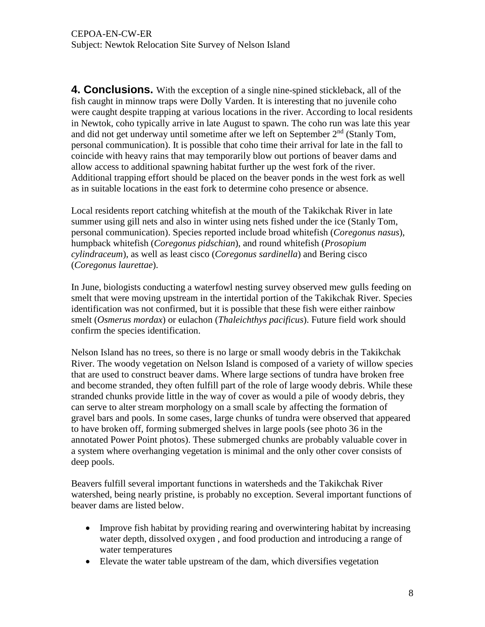**4. Conclusions.** With the exception of a single nine-spined stickleback, all of the fish caught in minnow traps were Dolly Varden. It is interesting that no juvenile coho were caught despite trapping at various locations in the river. According to local residents in Newtok, coho typically arrive in late August to spawn. The coho run was late this year and did not get underway until sometime after we left on September 2<sup>nd</sup> (Stanly Tom, personal communication). It is possible that coho time their arrival for late in the fall to coincide with heavy rains that may temporarily blow out portions of beaver dams and allow access to additional spawning habitat further up the west fork of the river. Additional trapping effort should be placed on the beaver ponds in the west fork as well as in suitable locations in the east fork to determine coho presence or absence.

Local residents report catching whitefish at the mouth of the Takikchak River in late summer using gill nets and also in winter using nets fished under the ice (Stanly Tom, personal communication). Species reported include broad whitefish (*Coregonus nasus*), humpback whitefish (*Coregonus pidschian*), and round whitefish (*Prosopium cylindraceum*), as well as least cisco (*Coregonus sardinella*) and Bering cisco (*Coregonus laurettae*).

In June, biologists conducting a waterfowl nesting survey observed mew gulls feeding on smelt that were moving upstream in the intertidal portion of the Takikchak River. Species identification was not confirmed, but it is possible that these fish were either rainbow smelt (*Osmerus mordax*) or eulachon (*Thaleichthys pacificus*). Future field work should confirm the species identification.

Nelson Island has no trees, so there is no large or small woody debris in the Takikchak River. The woody vegetation on Nelson Island is composed of a variety of willow species that are used to construct beaver dams. Where large sections of tundra have broken free and become stranded, they often fulfill part of the role of large woody debris. While these stranded chunks provide little in the way of cover as would a pile of woody debris, they can serve to alter stream morphology on a small scale by affecting the formation of gravel bars and pools. In some cases, large chunks of tundra were observed that appeared to have broken off, forming submerged shelves in large pools (see photo 36 in the annotated Power Point photos). These submerged chunks are probably valuable cover in a system where overhanging vegetation is minimal and the only other cover consists of deep pools.

Beavers fulfill several important functions in watersheds and the Takikchak River watershed, being nearly pristine, is probably no exception. Several important functions of beaver dams are listed below.

- Improve fish habitat by providing rearing and overwintering habitat by increasing water depth, dissolved oxygen , and food production and introducing a range of water temperatures
- Elevate the water table upstream of the dam, which diversifies vegetation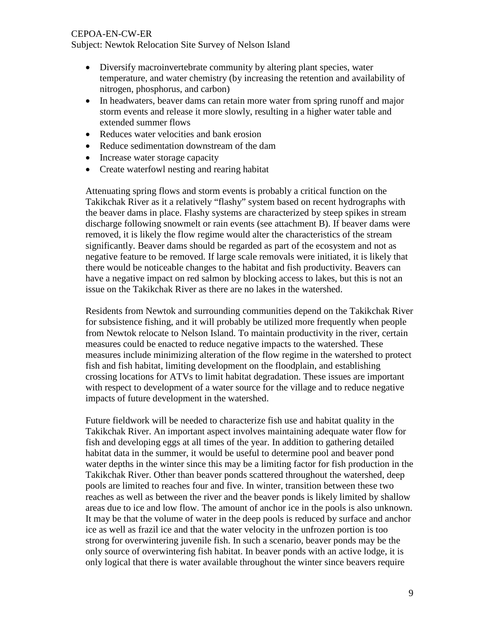#### CEPOA-EN-CW-ER

Subject: Newtok Relocation Site Survey of Nelson Island

- Diversify macroinvertebrate community by altering plant species, water temperature, and water chemistry (by increasing the retention and availability of nitrogen, phosphorus, and carbon)
- In headwaters, beaver dams can retain more water from spring runoff and major storm events and release it more slowly, resulting in a higher water table and extended summer flows
- Reduces water velocities and bank erosion
- Reduce sedimentation downstream of the dam
- Increase water storage capacity
- Create waterfowl nesting and rearing habitat

Attenuating spring flows and storm events is probably a critical function on the Takikchak River as it a relatively "flashy" system based on recent hydrographs with the beaver dams in place. Flashy systems are characterized by steep spikes in stream discharge following snowmelt or rain events (see attachment B). If beaver dams were removed, it is likely the flow regime would alter the characteristics of the stream significantly. Beaver dams should be regarded as part of the ecosystem and not as negative feature to be removed. If large scale removals were initiated, it is likely that there would be noticeable changes to the habitat and fish productivity. Beavers can have a negative impact on red salmon by blocking access to lakes, but this is not an issue on the Takikchak River as there are no lakes in the watershed.

Residents from Newtok and surrounding communities depend on the Takikchak River for subsistence fishing, and it will probably be utilized more frequently when people from Newtok relocate to Nelson Island. To maintain productivity in the river, certain measures could be enacted to reduce negative impacts to the watershed. These measures include minimizing alteration of the flow regime in the watershed to protect fish and fish habitat, limiting development on the floodplain, and establishing crossing locations for ATVs to limit habitat degradation. These issues are important with respect to development of a water source for the village and to reduce negative impacts of future development in the watershed.

Future fieldwork will be needed to characterize fish use and habitat quality in the Takikchak River. An important aspect involves maintaining adequate water flow for fish and developing eggs at all times of the year. In addition to gathering detailed habitat data in the summer, it would be useful to determine pool and beaver pond water depths in the winter since this may be a limiting factor for fish production in the Takikchak River. Other than beaver ponds scattered throughout the watershed, deep pools are limited to reaches four and five. In winter, transition between these two reaches as well as between the river and the beaver ponds is likely limited by shallow areas due to ice and low flow. The amount of anchor ice in the pools is also unknown. It may be that the volume of water in the deep pools is reduced by surface and anchor ice as well as frazil ice and that the water velocity in the unfrozen portion is too strong for overwintering juvenile fish. In such a scenario, beaver ponds may be the only source of overwintering fish habitat. In beaver ponds with an active lodge, it is only logical that there is water available throughout the winter since beavers require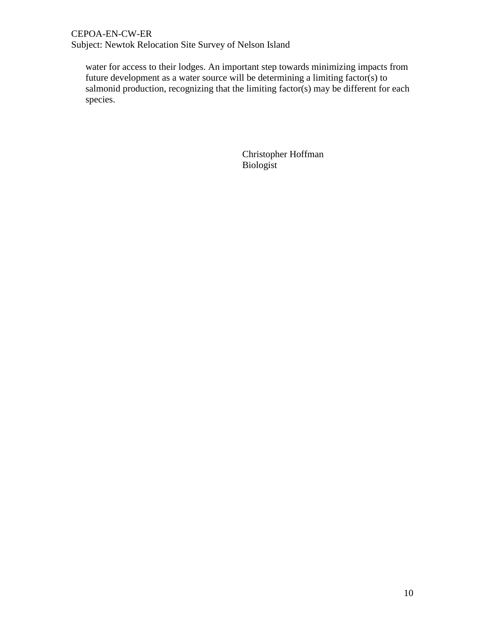# CEPOA-EN-CW-ER

Subject: Newtok Relocation Site Survey of Nelson Island

water for access to their lodges. An important step towards minimizing impacts from future development as a water source will be determining a limiting factor(s) to salmonid production, recognizing that the limiting factor(s) may be different for each species.

> Christopher Hoffman Biologist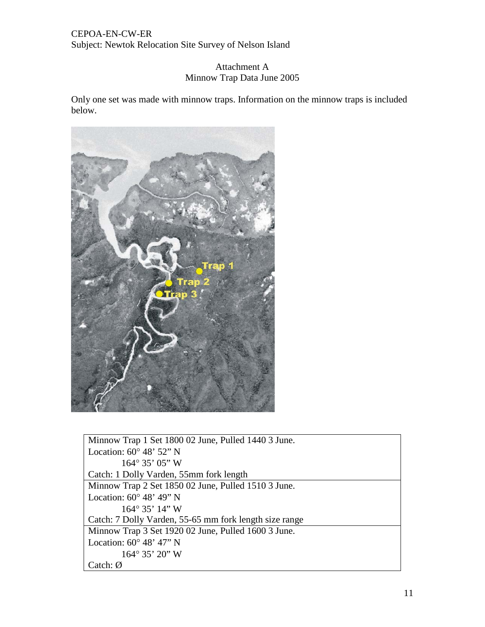### Attachment A Minnow Trap Data June 2005

Only one set was made with minnow traps. Information on the minnow traps is included below.



Minnow Trap 1 Set 1800 02 June, Pulled 1440 3 June. Location: 60° 48' 52" N 164° 35' 05" W Catch: 1 Dolly Varden, 55mm fork length Minnow Trap 2 Set 1850 02 June, Pulled 1510 3 June. Location: 60° 48' 49" N 164° 35' 14" W Catch: 7 Dolly Varden, 55-65 mm fork length size range Minnow Trap 3 Set 1920 02 June, Pulled 1600 3 June. Location: 60° 48' 47" N 164° 35' 20" W Catch: Ø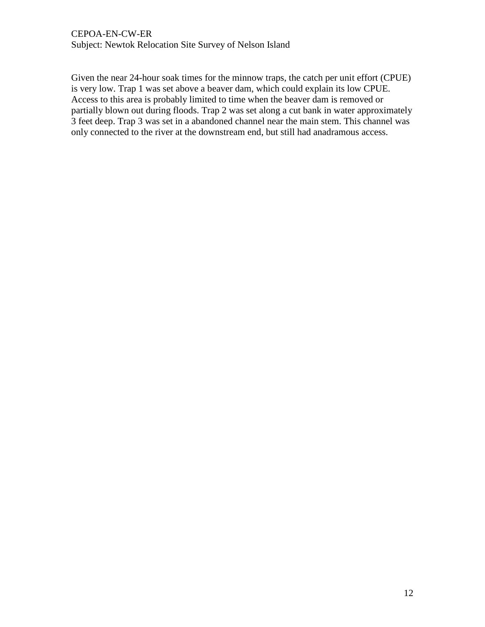Given the near 24-hour soak times for the minnow traps, the catch per unit effort (CPUE) is very low. Trap 1 was set above a beaver dam, which could explain its low CPUE. Access to this area is probably limited to time when the beaver dam is removed or partially blown out during floods. Trap 2 was set along a cut bank in water approximately 3 feet deep. Trap 3 was set in a abandoned channel near the main stem. This channel was only connected to the river at the downstream end, but still had anadramous access.